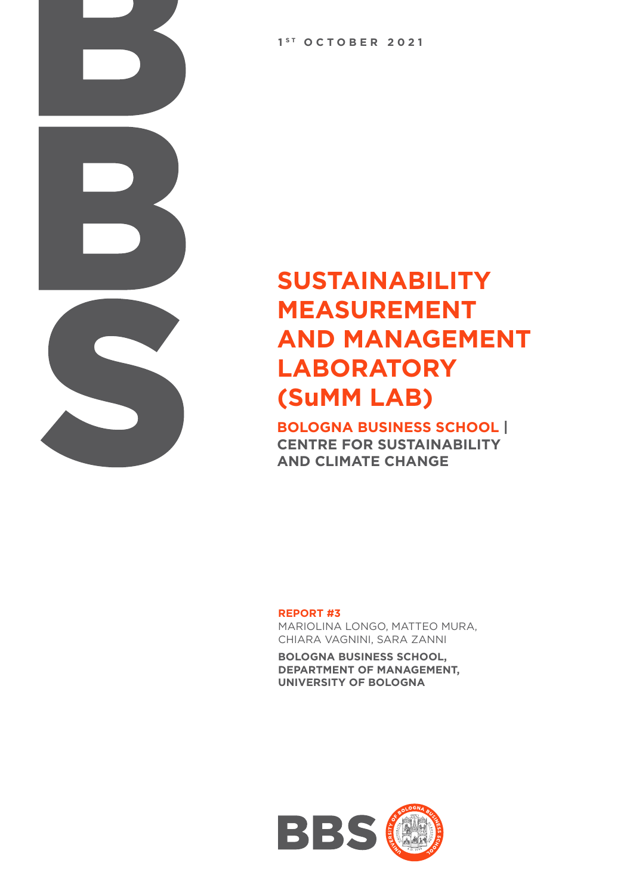**1 S T OCTOBER 2021**

### **SUSTAINABILITY MEASUREMENT AND MANAGEMENT LABORATORY (SuMM LAB)**

**BOLOGNA BUSINESS SCHOOL | CENTRE FOR SUSTAINABILITY AND CLIMATE CHANGE**

**REPORT #3** 

MARIOLINA LONGO, MATTEO MURA, CHIARA VAGNINI, SARA ZANNI

**BOLOGNA BUSINESS SCHOOL, DEPARTMENT OF MANAGEMENT, UNIVERSITY OF BOLOGNA**

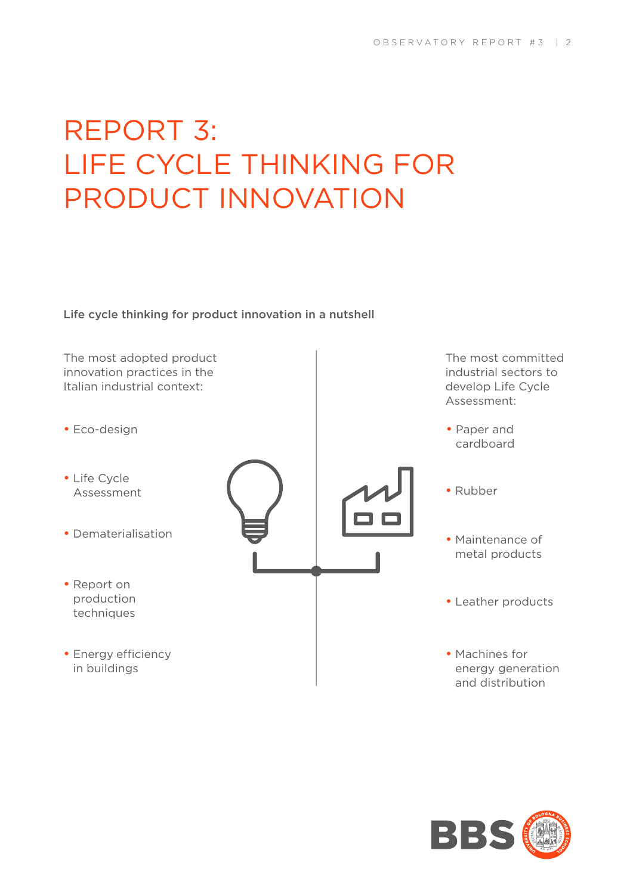# REPORT 3: LIFE CYCLE THINKING FOR PRODUCT INNOVATION

Life cycle thinking for product innovation in a nutshell

The most adopted product innovation practices in the Italian industrial context:

- Eco-design
- Life Cycle Assessment
- Dematerialisation
- Report on production techniques
- Energy efficiency in buildings



- The most committed industrial sectors to develop Life Cycle Assessment:
- Paper and cardboard
- Rubber
- Maintenance of metal products
- Leather products
- Machines for energy generation and distribution

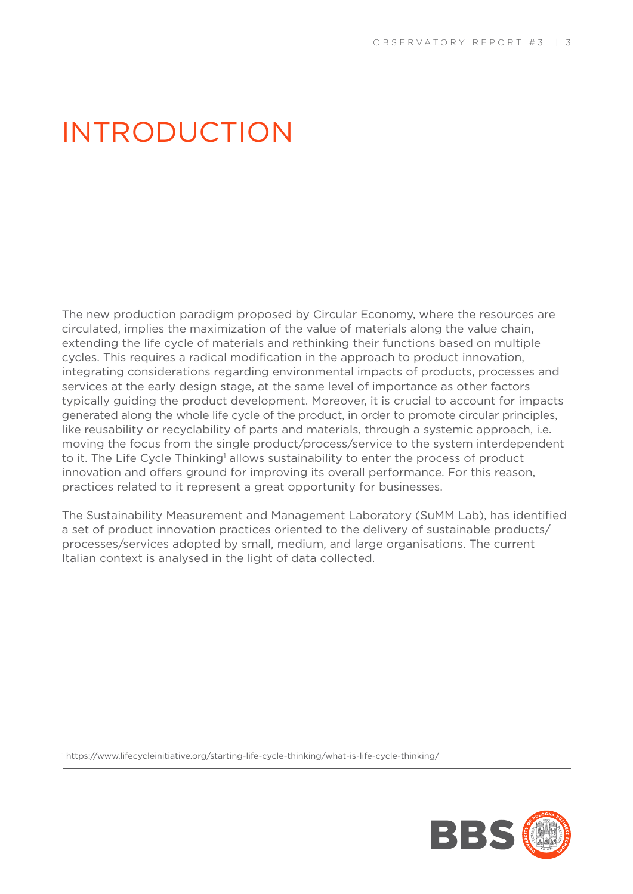### INTRODUCTION

The new production paradigm proposed by Circular Economy, where the resources are circulated, implies the maximization of the value of materials along the value chain, extending the life cycle of materials and rethinking their functions based on multiple cycles. This requires a radical modification in the approach to product innovation, integrating considerations regarding environmental impacts of products, processes and services at the early design stage, at the same level of importance as other factors typically guiding the product development. Moreover, it is crucial to account for impacts generated along the whole life cycle of the product, in order to promote circular principles, like reusability or recyclability of parts and materials, through a systemic approach, i.e. moving the focus from the single product/process/service to the system interdependent to it. The Life Cycle Thinking<sup>1</sup> allows sustainability to enter the process of product innovation and offers ground for improving its overall performance. For this reason, practices related to it represent a great opportunity for businesses.

The Sustainability Measurement and Management Laboratory (SuMM Lab), has identified a set of product innovation practices oriented to the delivery of sustainable products/ processes/services adopted by small, medium, and large organisations. The current Italian context is analysed in the light of data collected.

1 https://www.lifecycleinitiative.org/starting-life-cycle-thinking/what-is-life-cycle-thinking/

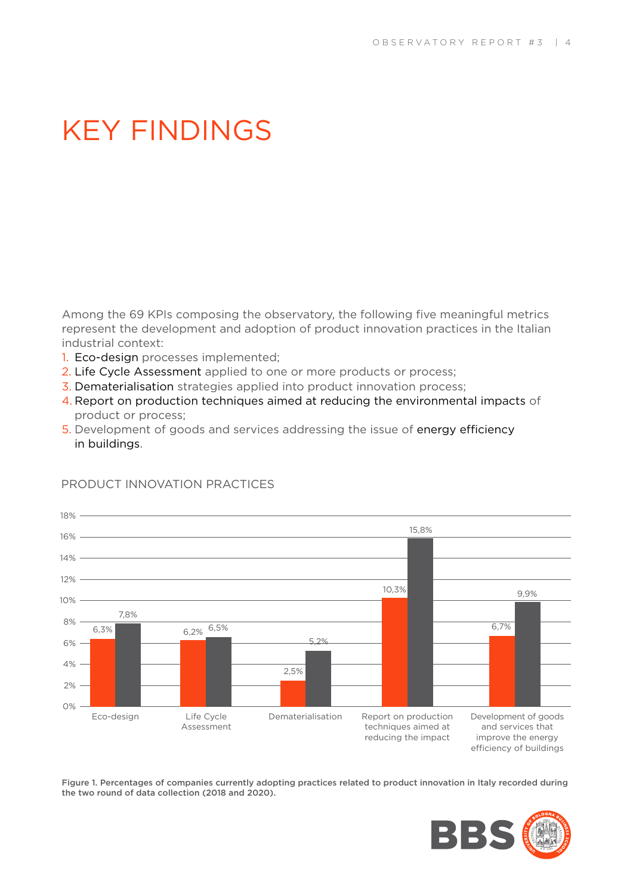### KEY FINDINGS

Among the 69 KPIs composing the observatory, the following five meaningful metrics represent the development and adoption of product innovation practices in the Italian industrial context:

- 1. Eco-design processes implemented;
- 2. Life Cycle Assessment applied to one or more products or process;
- 3. Dematerialisation strategies applied into product innovation process;
- 4. Report on production techniques aimed at reducing the environmental impacts of product or process;
- 5. Development of goods and services addressing the issue of energy efficiency in buildings.



### PRODUCT INNOVATION PRACTICES

Figure 1. Percentages of companies currently adopting practices related to product innovation in Italy recorded during the two round of data collection (2018 and 2020).

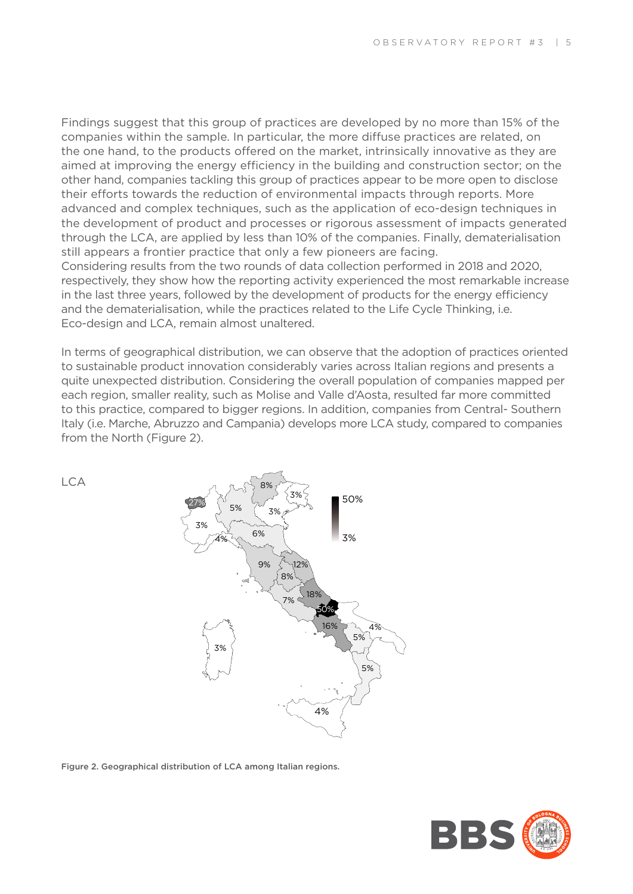Findings suggest that this group of practices are developed by no more than 15% of the companies within the sample. In particular, the more diffuse practices are related, on the one hand, to the products offered on the market, intrinsically innovative as they are aimed at improving the energy efficiency in the building and construction sector; on the other hand, companies tackling this group of practices appear to be more open to disclose their efforts towards the reduction of environmental impacts through reports. More advanced and complex techniques, such as the application of eco-design techniques in the development of product and processes or rigorous assessment of impacts generated through the LCA, are applied by less than 10% of the companies. Finally, dematerialisation still appears a frontier practice that only a few pioneers are facing.

Considering results from the two rounds of data collection performed in 2018 and 2020, respectively, they show how the reporting activity experienced the most remarkable increase in the last three years, followed by the development of products for the energy efficiency and the dematerialisation, while the practices related to the Life Cycle Thinking, i.e. Eco-design and LCA, remain almost unaltered.

In terms of geographical distribution, we can observe that the adoption of practices oriented to sustainable product innovation considerably varies across Italian regions and presents a quite unexpected distribution. Considering the overall population of companies mapped per each region, smaller reality, such as Molise and Valle d'Aosta, resulted far more committed to this practice, compared to bigger regions. In addition, companies from Central- Southern Italy (i.e. Marche, Abruzzo and Campania) develops more LCA study, compared to companies from the North (Figure 2).

LCA



Figure 2. Geographical distribution of LCA among Italian regions.

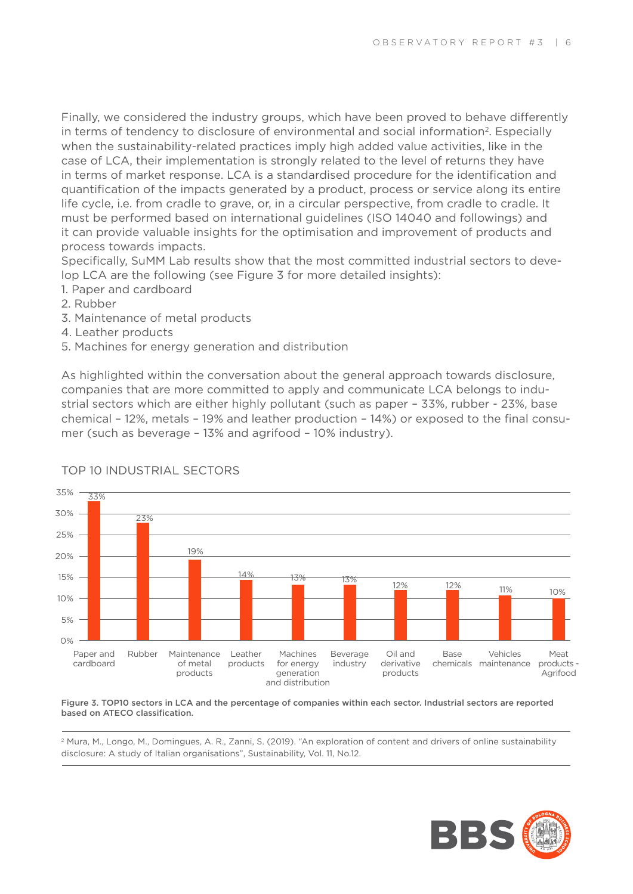Finally, we considered the industry groups, which have been proved to behave differently in terms of tendency to disclosure of environmental and social information<sup>2</sup>. Especially when the sustainability-related practices imply high added value activities, like in the case of LCA, their implementation is strongly related to the level of returns they have in terms of market response. LCA is a standardised procedure for the identification and quantification of the impacts generated by a product, process or service along its entire life cycle, i.e. from cradle to grave, or, in a circular perspective, from cradle to cradle. It must be performed based on international guidelines (ISO 14040 and followings) and it can provide valuable insights for the optimisation and improvement of products and process towards impacts.

Specifically, SuMM Lab results show that the most committed industrial sectors to develop LCA are the following (see Figure 3 for more detailed insights):

- 1. Paper and cardboard
- 2. Rubber
- 3. Maintenance of metal products
- 4. Leather products
- 5. Machines for energy generation and distribution

As highlighted within the conversation about the general approach towards disclosure, companies that are more committed to apply and communicate LCA belongs to industrial sectors which are either highly pollutant (such as paper – 33%, rubber - 23%, base chemical – 12%, metals – 19% and leather production – 14%) or exposed to the final consumer (such as beverage – 13% and agrifood – 10% industry).



### TOP 10 INDUSTRIAL SECTORS

Figure 3. TOP10 sectors in LCA and the percentage of companies within each sector. Industrial sectors are reported based on ATECO classification.

2 Mura, M., Longo, M., Domingues, A. R., Zanni, S. (2019). "An exploration of content and drivers of online sustainability disclosure: A study of Italian organisations", Sustainability, Vol. 11, No.12.

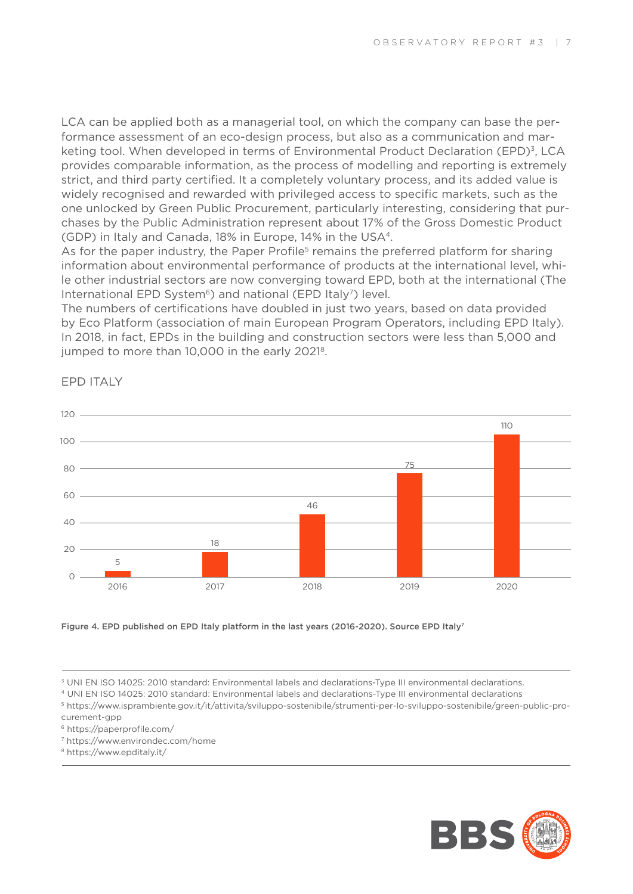LCA can be applied both as a managerial tool, on which the company can base the performance assessment of an eco-design process, but also as a communication and marketing tool. When developed in terms of Environmental Product Declaration (EPD)<sup>3</sup>, LCA provides comparable information, as the process of modelling and reporting is extremely strict, and third party certified. It a completely voluntary process, and its added value is widely recognised and rewarded with privileged access to specific markets, such as the one unlocked by Green Public Procurement, particularly interesting, considering that purchases by the Public Administration represent about 17% of the Gross Domestic Product (GDP) in Italy and Canada, 18% in Europe, 14% in the USA4.

As for the paper industry, the Paper Profile<sup>5</sup> remains the preferred platform for sharing information about environmental performance of products at the international level, while other industrial sectors are now converging toward EPD, both at the international (The International EPD System<sup>6</sup>) and national (EPD Italy<sup>7</sup>) level.

The numbers of certifications have doubled in just two years, based on data provided by Eco Platform (association of main European Program Operators, including EPD Italy). In 2018, in fact, EPDs in the building and construction sectors were less than 5,000 and jumped to more than 10,000 in the early 2021<sup>8</sup>.



EPD ITALY

Figure 4. EPD published on EPD Italy platform in the last years (2016-2020). Source EPD Italy<sup>7</sup>

7 https://www.environdec.com/home



<sup>3</sup> UNI EN ISO 14025: 2010 standard: Environmental labels and declarations-Type III environmental declarations.

<sup>4</sup> UNI EN ISO 14025: 2010 standard: Environmental labels and declarations-Type III environmental declarations

<sup>5</sup> https://www.isprambiente.gov.it/it/attivita/sviluppo-sostenibile/strumenti-per-lo-sviluppo-sostenibile/green-public-procurement-gpp

<sup>6</sup> https://paperprofile.com/

<sup>8</sup> https://www.epditaly.it/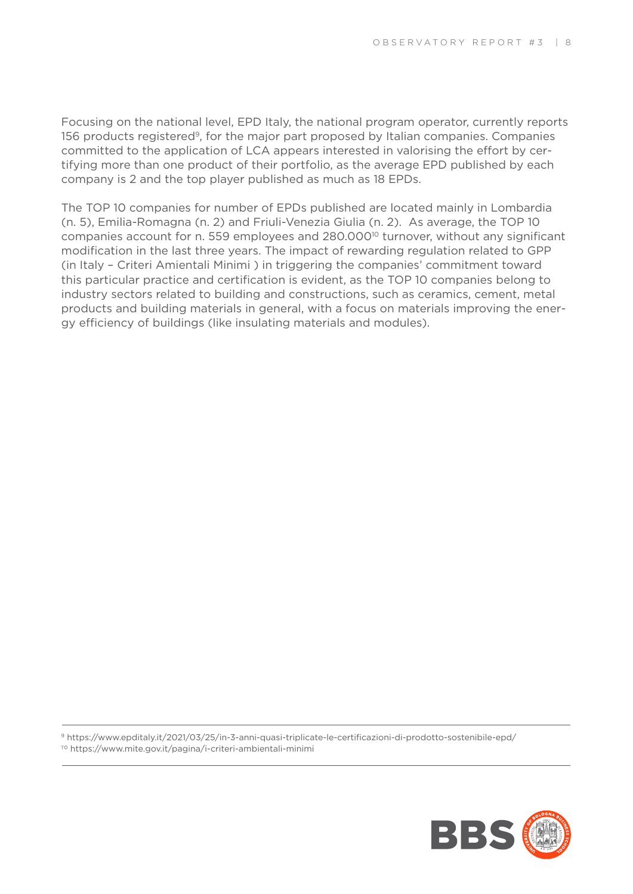Focusing on the national level, EPD Italy, the national program operator, currently reports 156 products registered<sup>9</sup>, for the major part proposed by Italian companies. Companies committed to the application of LCA appears interested in valorising the effort by certifying more than one product of their portfolio, as the average EPD published by each company is 2 and the top player published as much as 18 EPDs.

The TOP 10 companies for number of EPDs published are located mainly in Lombardia (n. 5), Emilia-Romagna (n. 2) and Friuli-Venezia Giulia (n. 2). As average, the TOP 10 companies account for n. 559 employees and  $280.000^{10}$  turnover, without any significant modification in the last three years. The impact of rewarding regulation related to GPP (in Italy – Criteri Amientali Minimi ) in triggering the companies' commitment toward this particular practice and certification is evident, as the TOP 10 companies belong to industry sectors related to building and constructions, such as ceramics, cement, metal products and building materials in general, with a focus on materials improving the energy efficiency of buildings (like insulating materials and modules).

9 https://www.epditaly.it/2021/03/25/in-3-anni-quasi-triplicate-le-certificazioni-di-prodotto-sostenibile-epd/ 1'0 https://www.mite.gov.it/pagina/i-criteri-ambientali-minimi

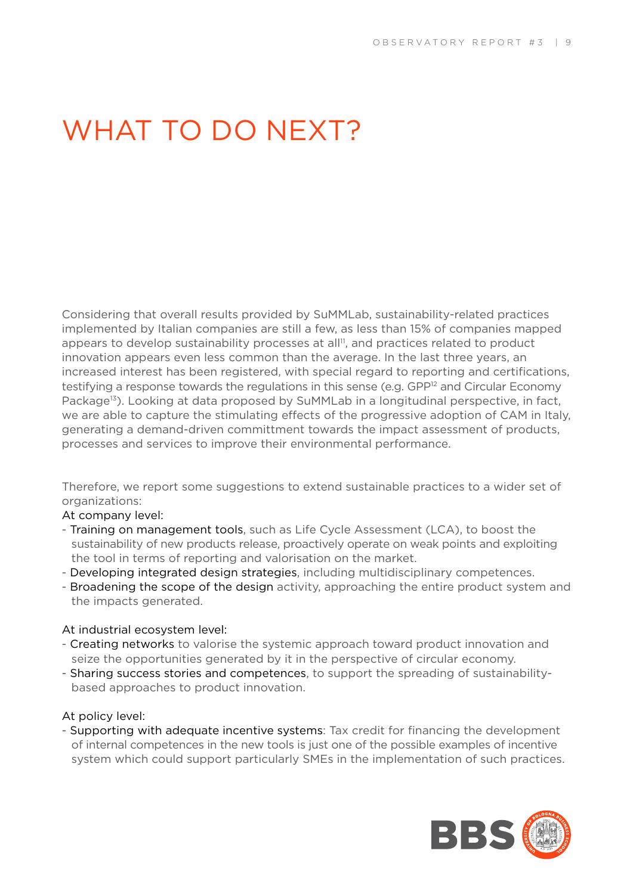## WHAT TO DO NEXT?

Considering that overall results provided by SuMMLab, sustainability-related practices implemented by Italian companies are still a few, as less than 15% of companies mapped appears to develop sustainability processes at all<sup>11</sup>, and practices related to product innovation appears even less common than the average. In the last three years, an increased interest has been registered, with special regard to reporting and certifications, testifying a response towards the regulations in this sense (e.g.  $GPP^{12}$  and Circular Economy Package<sup>13</sup>). Looking at data proposed by SuMMLab in a longitudinal perspective, in fact, we are able to capture the stimulating effects of the progressive adoption of CAM in Italy, generating a demand-driven committment towards the impact assessment of products, processes and services to improve their environmental performance.

Therefore, we report some suggestions to extend sustainable practices to a wider set of organizations:

### At company level:

- Training on management tools, such as Life Cycle Assessment (LCA), to boost the sustainability of new products release, proactively operate on weak points and exploiting the tool in terms of reporting and valorisation on the market.
- Developing integrated design strategies, including multidisciplinary competences.
- Broadening the scope of the design activity, approaching the entire product system and the impacts generated.

#### At industrial ecosystem level:

- Creating networks to valorise the systemic approach toward product innovation and seize the opportunities generated by it in the perspective of circular economy.
- Sharing success stories and competences, to support the spreading of sustainabilitybased approaches to product innovation.

#### At policy level:

- Supporting with adequate incentive systems: Tax credit for financing the development of internal competences in the new tools is just one of the possible examples of incentive system which could support particularly SMEs in the implementation of such practices.

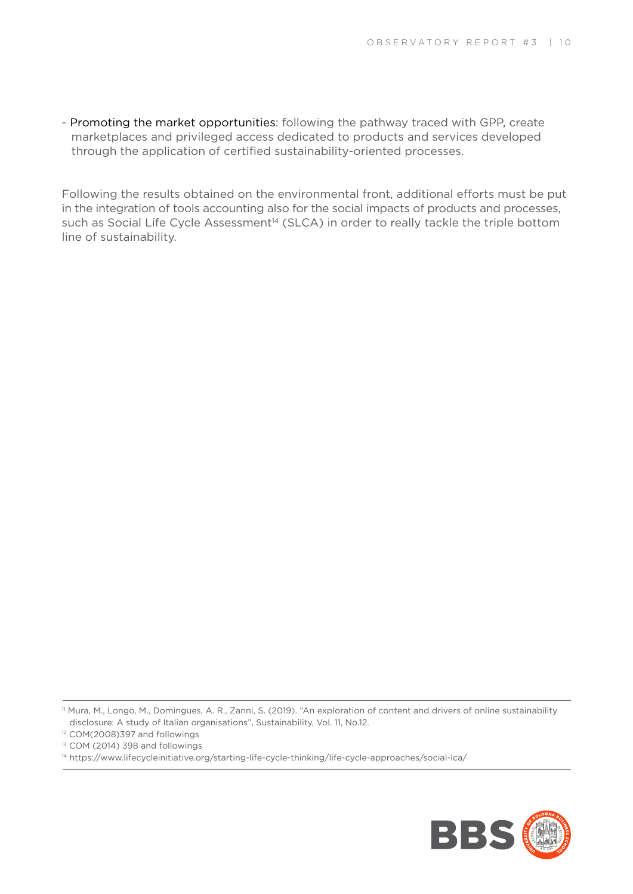- Promoting the market opportunities: following the pathway traced with GPP, create marketplaces and privileged access dedicated to products and services developed through the application of certified sustainability-oriented processes.

Following the results obtained on the environmental front, additional efforts must be put in the integration of tools accounting also for the social impacts of products and processes, such as Social Life Cycle Assessment<sup>14</sup> (SLCA) in order to really tackle the triple bottom line of sustainability.

<sup>14</sup> https://www.lifecycleinitiative.org/starting-life-cycle-thinking/life-cycle-approaches/social-lca/



<sup>11</sup> Mura, M., Longo, M., Domingues, A. R., Zanni, S. (2019). "An exploration of content and drivers of online sustainability disclosure: A study of Italian organisations", Sustainability, Vol. 11, No.12.

<sup>12</sup> COM(2008)397 and followings

<sup>&</sup>lt;sup>13</sup> COM (2014) 398 and followings